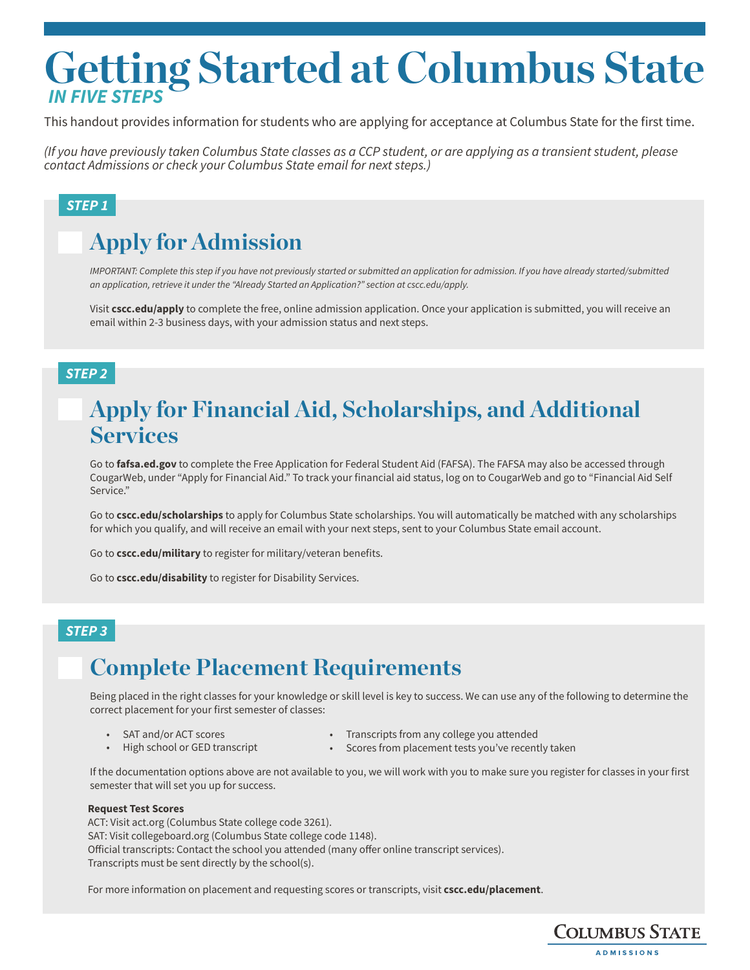# **Getting Started at Columbus State** *IN FIVE STEPS*

This handout provides information for students who are applying for acceptance at Columbus State for the first time.

*(If you have previously taken Columbus State classes as a CCP student, or are applying as a transient student, please contact Admissions or check your Columbus State email for next steps.)*

### *STEP 1*

## **Apply for Admission**

*IMPORTANT: Complete this step if you have not previously started or submitted an application for admission. If you have already started/submitted an application, retrieve it under the "Already Started an Application?" section at cscc.edu/apply.*

Visit **cscc.edu/apply** to complete the free, online admission application. Once your application is submitted, you will receive an email within 2-3 business days, with your admission status and next steps.

### *STEP 2*

### **Apply for Financial Aid, Scholarships, and Additional Services**

Go to **fafsa.ed.gov** to complete the Free Application for Federal Student Aid (FAFSA). The FAFSA may also be accessed through CougarWeb, under "Apply for Financial Aid." To track your financial aid status, log on to CougarWeb and go to "Financial Aid Self Service."

Go to **cscc.edu/scholarships** to apply for Columbus State scholarships. You will automatically be matched with any scholarships for which you qualify, and will receive an email with your next steps, sent to your Columbus State email account.

Go to **cscc.edu/military** to register for military/veteran benefits.

Go to **cscc.edu/disability** to register for Disability Services.

### *STEP 3*

## **Complete Placement Requirements**

Being placed in the right classes for your knowledge or skill level is key to success. We can use any of the following to determine the correct placement for your first semester of classes:

- SAT and/or ACT scores
	- High school or GED transcript
- Transcripts from any college you attended
	- Scores from placement tests you've recently taken

If the documentation options above are not available to you, we will work with you to make sure you register for classes in your first semester that will set you up for success.

#### **Request Test Scores**

ACT: Visit act.org (Columbus State college code 3261). SAT: Visit collegeboard.org (Columbus State college code 1148). Official transcripts: Contact the school you attended (many offer online transcript services). Transcripts must be sent directly by the school(s).

For more information on placement and requesting scores or transcripts, visit **cscc.edu/placement**.